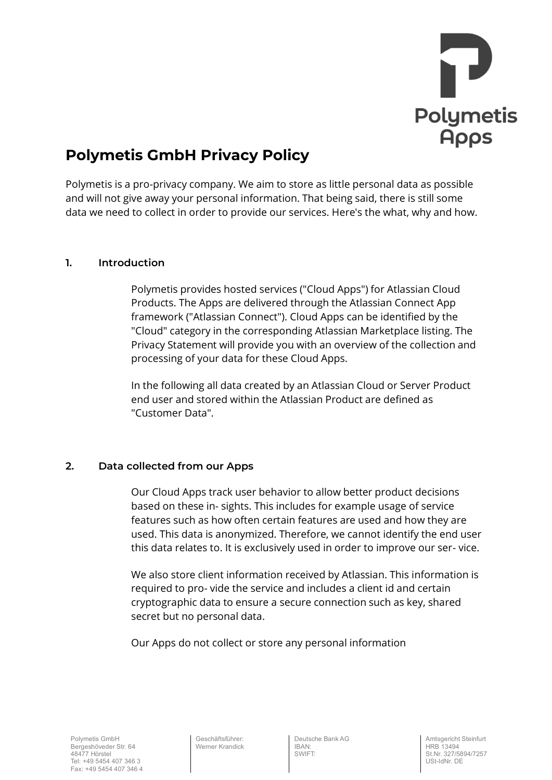

# **Polymetis GmbH Privacy Policy**

Polymetis is a pro-privacy company. We aim to store as little personal data as possible and will not give away your personal information. That being said, there is still some data we need to collect in order to provide our services. Here's the what, why and how.

# **1. Introduction**

Polymetis provides hosted services ("Cloud Apps") for Atlassian Cloud Products. The Apps are delivered through the Atlassian Connect App framework ("Atlassian Connect"). Cloud Apps can be identified by the "Cloud" category in the corresponding Atlassian Marketplace listing. The Privacy Statement will provide you with an overview of the collection and processing of your data for these Cloud Apps.

In the following all data created by an Atlassian Cloud or Server Product end user and stored within the Atlassian Product are defined as "Customer Data".

# **2. Data collected from our Apps**

Our Cloud Apps track user behavior to allow better product decisions based on these in- sights. This includes for example usage of service features such as how often certain features are used and how they are used. This data is anonymized. Therefore, we cannot identify the end user this data relates to. It is exclusively used in order to improve our ser- vice.

We also store client information received by Atlassian. This information is required to pro- vide the service and includes a client id and certain cryptographic data to ensure a secure connection such as key, shared secret but no personal data.

Our Apps do not collect or store any personal information

Geschäftsführer: Werner Krandick Deutsche Bank AG IBAN: SWIFT: